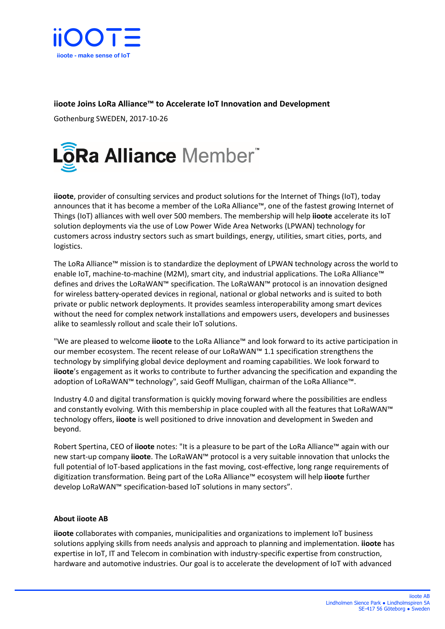

## **iioote Joins LoRa Alliance™ to Accelerate IoT Innovation and Development**

Gothenburg SWEDEN, 2017-10-26



**iioote**, provider of consulting services and product solutions for the Internet of Things (IoT), today announces that it has become a member of the LoRa Alliance™, one of the fastest growing Internet of Things (IoT) alliances with well over 500 members. The membership will help **iioote** accelerate its IoT solution deployments via the use of Low Power Wide Area Networks (LPWAN) technology for customers across industry sectors such as smart buildings, energy, utilities, smart cities, ports, and logistics.

The LoRa Alliance™ mission is to standardize the deployment of LPWAN technology across the world to enable IoT, machine-to-machine (M2M), smart city, and industrial applications. The LoRa Alliance™ defines and drives the LoRaWAN™ specification. The LoRaWAN™ protocol is an innovation designed for wireless battery-operated devices in regional, national or global networks and is suited to both private or public network deployments. It provides seamless interoperability among smart devices without the need for complex network installations and empowers users, developers and businesses alike to seamlessly rollout and scale their IoT solutions.

"We are pleased to welcome **iioote** to the LoRa Alliance™ and look forward to its active participation in our member ecosystem. The recent release of our LoRaWAN™ 1.1 specification strengthens the technology by simplifying global device deployment and roaming capabilities. We look forward to **iioote**'s engagement as it works to contribute to further advancing the specification and expanding the adoption of LoRaWAN™ technology", said Geoff Mulligan, chairman of the LoRa Alliance™.

Industry 4.0 and digital transformation is quickly moving forward where the possibilities are endless and constantly evolving. With this membership in place coupled with all the features that LoRaWAN™ technology offers, **iioote** is well positioned to drive innovation and development in Sweden and beyond.

Robert Spertina, CEO of **iioote** notes: "It is a pleasure to be part of the LoRa Alliance™ again with our new start-up company **iioote**. The LoRaWAN™ protocol is a very suitable innovation that unlocks the full potential of IoT-based applications in the fast moving, cost-effective, long range requirements of digitization transformation. Being part of the LoRa Alliance™ ecosystem will help **iioote** further develop LoRaWAN™ specification-based IoT solutions in many sectors".

## **About iioote AB**

**iioote** collaborates with companies, municipalities and organizations to implement IoT business solutions applying skills from needs analysis and approach to planning and implementation. **iioote** has expertise in IoT, IT and Telecom in combination with industry-specific expertise from construction, hardware and automotive industries. Our goal is to accelerate the development of IoT with advanced